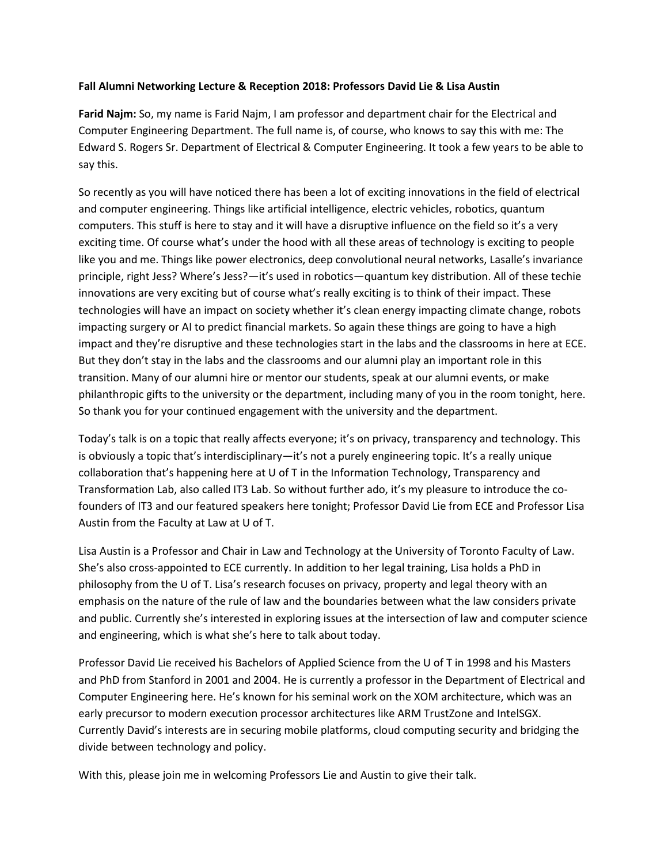#### **Fall Alumni Networking Lecture & Reception 2018: Professors David Lie & Lisa Austin**

**Farid Najm:** So, my name is Farid Najm, I am professor and department chair for the Electrical and Computer Engineering Department. The full name is, of course, who knows to say this with me: The Edward S. Rogers Sr. Department of Electrical & Computer Engineering. It took a few years to be able to say this.

So recently as you will have noticed there has been a lot of exciting innovations in the field of electrical and computer engineering. Things like artificial intelligence, electric vehicles, robotics, quantum computers. This stuff is here to stay and it will have a disruptive influence on the field so it's a very exciting time. Of course what's under the hood with all these areas of technology is exciting to people like you and me. Things like power electronics, deep convolutional neural networks, Lasalle's invariance principle, right Jess? Where's Jess?—it's used in robotics—quantum key distribution. All of these techie innovations are very exciting but of course what's really exciting is to think of their impact. These technologies will have an impact on society whether it's clean energy impacting climate change, robots impacting surgery or AI to predict financial markets. So again these things are going to have a high impact and they're disruptive and these technologies start in the labs and the classrooms in here at ECE. But they don't stay in the labs and the classrooms and our alumni play an important role in this transition. Many of our alumni hire or mentor our students, speak at our alumni events, or make philanthropic gifts to the university or the department, including many of you in the room tonight, here. So thank you for your continued engagement with the university and the department.

Today's talk is on a topic that really affects everyone; it's on privacy, transparency and technology. This is obviously a topic that's interdisciplinary—it's not a purely engineering topic. It's a really unique collaboration that's happening here at U of T in the Information Technology, Transparency and Transformation Lab, also called IT3 Lab. So without further ado, it's my pleasure to introduce the cofounders of IT3 and our featured speakers here tonight; Professor David Lie from ECE and Professor Lisa Austin from the Faculty at Law at U of T.

Lisa Austin is a Professor and Chair in Law and Technology at the University of Toronto Faculty of Law. She's also cross-appointed to ECE currently. In addition to her legal training, Lisa holds a PhD in philosophy from the U of T. Lisa's research focuses on privacy, property and legal theory with an emphasis on the nature of the rule of law and the boundaries between what the law considers private and public. Currently she's interested in exploring issues at the intersection of law and computer science and engineering, which is what she's here to talk about today.

Professor David Lie received his Bachelors of Applied Science from the U of T in 1998 and his Masters and PhD from Stanford in 2001 and 2004. He is currently a professor in the Department of Electrical and Computer Engineering here. He's known for his seminal work on the XOM architecture, which was an early precursor to modern execution processor architectures like ARM TrustZone and IntelSGX. Currently David's interests are in securing mobile platforms, cloud computing security and bridging the divide between technology and policy.

With this, please join me in welcoming Professors Lie and Austin to give their talk.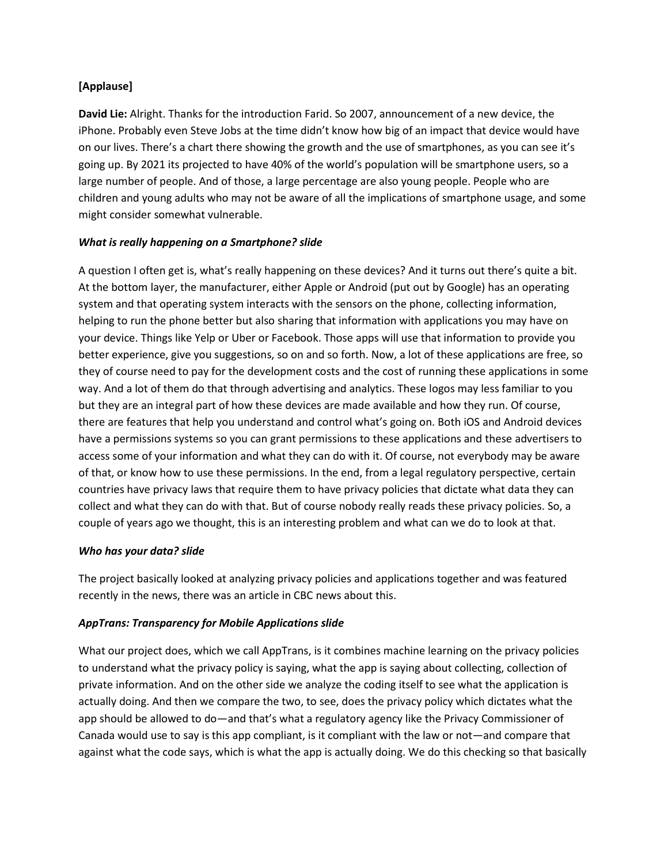## **[Applause]**

**David Lie:** Alright. Thanks for the introduction Farid. So 2007, announcement of a new device, the iPhone. Probably even Steve Jobs at the time didn't know how big of an impact that device would have on our lives. There's a chart there showing the growth and the use of smartphones, as you can see it's going up. By 2021 its projected to have 40% of the world's population will be smartphone users, so a large number of people. And of those, a large percentage are also young people. People who are children and young adults who may not be aware of all the implications of smartphone usage, and some might consider somewhat vulnerable.

### *What is really happening on a Smartphone? slide*

A question I often get is, what's really happening on these devices? And it turns out there's quite a bit. At the bottom layer, the manufacturer, either Apple or Android (put out by Google) has an operating system and that operating system interacts with the sensors on the phone, collecting information, helping to run the phone better but also sharing that information with applications you may have on your device. Things like Yelp or Uber or Facebook. Those apps will use that information to provide you better experience, give you suggestions, so on and so forth. Now, a lot of these applications are free, so they of course need to pay for the development costs and the cost of running these applications in some way. And a lot of them do that through advertising and analytics. These logos may less familiar to you but they are an integral part of how these devices are made available and how they run. Of course, there are features that help you understand and control what's going on. Both iOS and Android devices have a permissions systems so you can grant permissions to these applications and these advertisers to access some of your information and what they can do with it. Of course, not everybody may be aware of that, or know how to use these permissions. In the end, from a legal regulatory perspective, certain countries have privacy laws that require them to have privacy policies that dictate what data they can collect and what they can do with that. But of course nobody really reads these privacy policies. So, a couple of years ago we thought, this is an interesting problem and what can we do to look at that.

#### *Who has your data? slide*

The project basically looked at analyzing privacy policies and applications together and was featured recently in the news, there was an article in CBC news about this.

## *AppTrans: Transparency for Mobile Applications slide*

What our project does, which we call AppTrans, is it combines machine learning on the privacy policies to understand what the privacy policy is saying, what the app is saying about collecting, collection of private information. And on the other side we analyze the coding itself to see what the application is actually doing. And then we compare the two, to see, does the privacy policy which dictates what the app should be allowed to do—and that's what a regulatory agency like the Privacy Commissioner of Canada would use to say is this app compliant, is it compliant with the law or not—and compare that against what the code says, which is what the app is actually doing. We do this checking so that basically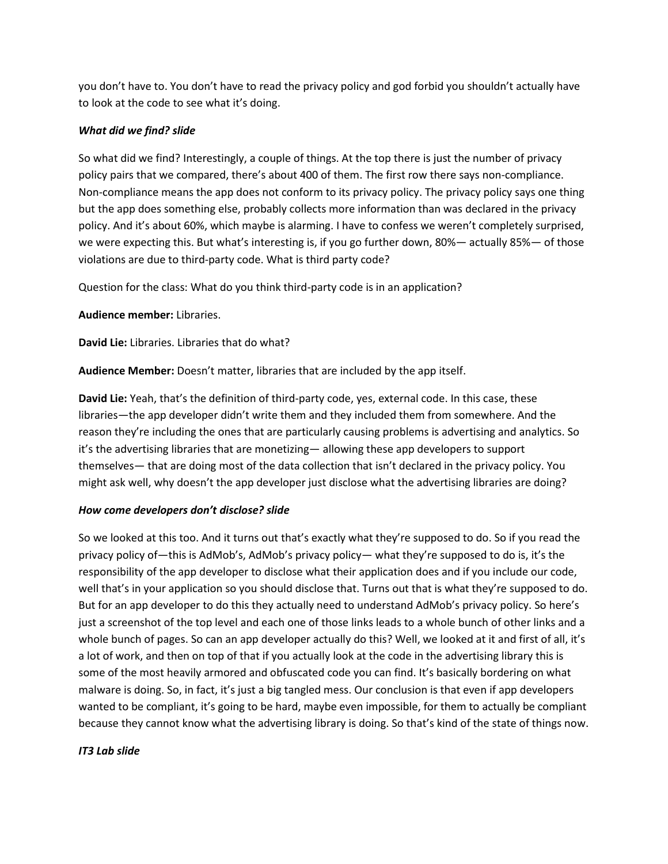you don't have to. You don't have to read the privacy policy and god forbid you shouldn't actually have to look at the code to see what it's doing.

### *What did we find? slide*

So what did we find? Interestingly, a couple of things. At the top there is just the number of privacy policy pairs that we compared, there's about 400 of them. The first row there says non-compliance. Non-compliance means the app does not conform to its privacy policy. The privacy policy says one thing but the app does something else, probably collects more information than was declared in the privacy policy. And it's about 60%, which maybe is alarming. I have to confess we weren't completely surprised, we were expecting this. But what's interesting is, if you go further down, 80%— actually 85%— of those violations are due to third-party code. What is third party code?

Question for the class: What do you think third-party code is in an application?

**Audience member:** Libraries.

**David Lie:** Libraries. Libraries that do what?

**Audience Member:** Doesn't matter, libraries that are included by the app itself.

**David Lie:** Yeah, that's the definition of third-party code, yes, external code. In this case, these libraries—the app developer didn't write them and they included them from somewhere. And the reason they're including the ones that are particularly causing problems is advertising and analytics. So it's the advertising libraries that are monetizing— allowing these app developers to support themselves— that are doing most of the data collection that isn't declared in the privacy policy. You might ask well, why doesn't the app developer just disclose what the advertising libraries are doing?

## *How come developers don't disclose? slide*

So we looked at this too. And it turns out that's exactly what they're supposed to do. So if you read the privacy policy of—this is AdMob's, AdMob's privacy policy— what they're supposed to do is, it's the responsibility of the app developer to disclose what their application does and if you include our code, well that's in your application so you should disclose that. Turns out that is what they're supposed to do. But for an app developer to do this they actually need to understand AdMob's privacy policy. So here's just a screenshot of the top level and each one of those links leads to a whole bunch of other links and a whole bunch of pages. So can an app developer actually do this? Well, we looked at it and first of all, it's a lot of work, and then on top of that if you actually look at the code in the advertising library this is some of the most heavily armored and obfuscated code you can find. It's basically bordering on what malware is doing. So, in fact, it's just a big tangled mess. Our conclusion is that even if app developers wanted to be compliant, it's going to be hard, maybe even impossible, for them to actually be compliant because they cannot know what the advertising library is doing. So that's kind of the state of things now.

#### *IT3 Lab slide*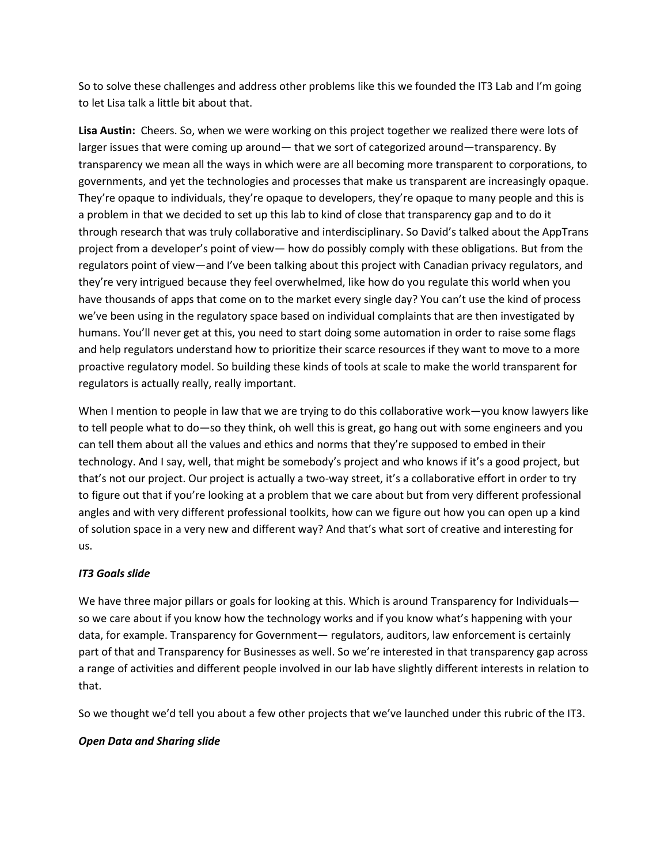So to solve these challenges and address other problems like this we founded the IT3 Lab and I'm going to let Lisa talk a little bit about that.

**Lisa Austin:** Cheers. So, when we were working on this project together we realized there were lots of larger issues that were coming up around— that we sort of categorized around—transparency. By transparency we mean all the ways in which were are all becoming more transparent to corporations, to governments, and yet the technologies and processes that make us transparent are increasingly opaque. They're opaque to individuals, they're opaque to developers, they're opaque to many people and this is a problem in that we decided to set up this lab to kind of close that transparency gap and to do it through research that was truly collaborative and interdisciplinary. So David's talked about the AppTrans project from a developer's point of view— how do possibly comply with these obligations. But from the regulators point of view—and I've been talking about this project with Canadian privacy regulators, and they're very intrigued because they feel overwhelmed, like how do you regulate this world when you have thousands of apps that come on to the market every single day? You can't use the kind of process we've been using in the regulatory space based on individual complaints that are then investigated by humans. You'll never get at this, you need to start doing some automation in order to raise some flags and help regulators understand how to prioritize their scarce resources if they want to move to a more proactive regulatory model. So building these kinds of tools at scale to make the world transparent for regulators is actually really, really important.

When I mention to people in law that we are trying to do this collaborative work—you know lawyers like to tell people what to do—so they think, oh well this is great, go hang out with some engineers and you can tell them about all the values and ethics and norms that they're supposed to embed in their technology. And I say, well, that might be somebody's project and who knows if it's a good project, but that's not our project. Our project is actually a two-way street, it's a collaborative effort in order to try to figure out that if you're looking at a problem that we care about but from very different professional angles and with very different professional toolkits, how can we figure out how you can open up a kind of solution space in a very new and different way? And that's what sort of creative and interesting for us.

## *IT3 Goals slide*

We have three major pillars or goals for looking at this. Which is around Transparency for Individuals so we care about if you know how the technology works and if you know what's happening with your data, for example. Transparency for Government— regulators, auditors, law enforcement is certainly part of that and Transparency for Businesses as well. So we're interested in that transparency gap across a range of activities and different people involved in our lab have slightly different interests in relation to that.

So we thought we'd tell you about a few other projects that we've launched under this rubric of the IT3.

#### *Open Data and Sharing slide*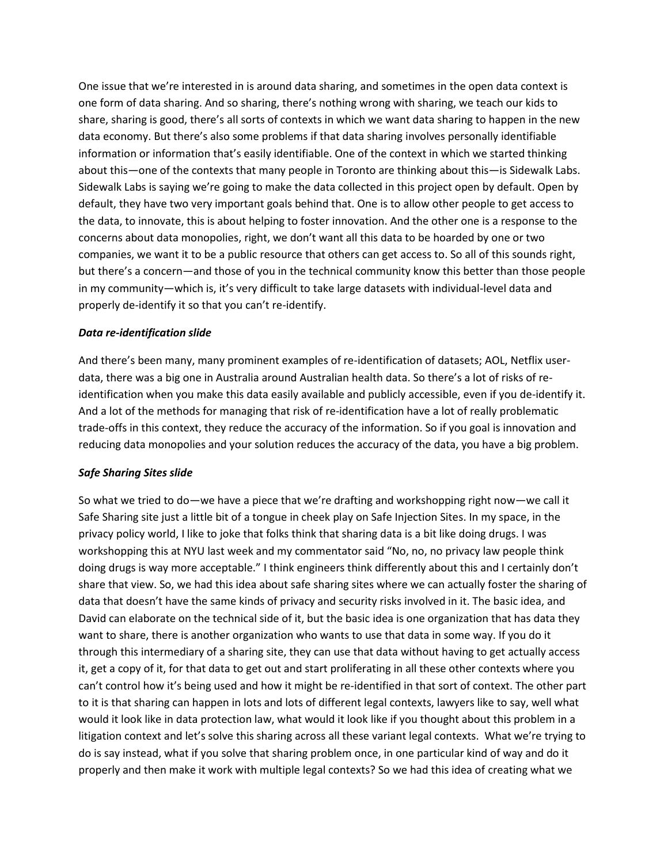One issue that we're interested in is around data sharing, and sometimes in the open data context is one form of data sharing. And so sharing, there's nothing wrong with sharing, we teach our kids to share, sharing is good, there's all sorts of contexts in which we want data sharing to happen in the new data economy. But there's also some problems if that data sharing involves personally identifiable information or information that's easily identifiable. One of the context in which we started thinking about this—one of the contexts that many people in Toronto are thinking about this—is Sidewalk Labs. Sidewalk Labs is saying we're going to make the data collected in this project open by default. Open by default, they have two very important goals behind that. One is to allow other people to get access to the data, to innovate, this is about helping to foster innovation. And the other one is a response to the concerns about data monopolies, right, we don't want all this data to be hoarded by one or two companies, we want it to be a public resource that others can get access to. So all of this sounds right, but there's a concern—and those of you in the technical community know this better than those people in my community—which is, it's very difficult to take large datasets with individual-level data and properly de-identify it so that you can't re-identify.

#### *Data re-identification slide*

And there's been many, many prominent examples of re-identification of datasets; AOL, Netflix userdata, there was a big one in Australia around Australian health data. So there's a lot of risks of reidentification when you make this data easily available and publicly accessible, even if you de-identify it. And a lot of the methods for managing that risk of re-identification have a lot of really problematic trade-offs in this context, they reduce the accuracy of the information. So if you goal is innovation and reducing data monopolies and your solution reduces the accuracy of the data, you have a big problem.

#### *Safe Sharing Sites slide*

So what we tried to do—we have a piece that we're drafting and workshopping right now—we call it Safe Sharing site just a little bit of a tongue in cheek play on Safe Injection Sites. In my space, in the privacy policy world, I like to joke that folks think that sharing data is a bit like doing drugs. I was workshopping this at NYU last week and my commentator said "No, no, no privacy law people think doing drugs is way more acceptable." I think engineers think differently about this and I certainly don't share that view. So, we had this idea about safe sharing sites where we can actually foster the sharing of data that doesn't have the same kinds of privacy and security risks involved in it. The basic idea, and David can elaborate on the technical side of it, but the basic idea is one organization that has data they want to share, there is another organization who wants to use that data in some way. If you do it through this intermediary of a sharing site, they can use that data without having to get actually access it, get a copy of it, for that data to get out and start proliferating in all these other contexts where you can't control how it's being used and how it might be re-identified in that sort of context. The other part to it is that sharing can happen in lots and lots of different legal contexts, lawyers like to say, well what would it look like in data protection law, what would it look like if you thought about this problem in a litigation context and let's solve this sharing across all these variant legal contexts. What we're trying to do is say instead, what if you solve that sharing problem once, in one particular kind of way and do it properly and then make it work with multiple legal contexts? So we had this idea of creating what we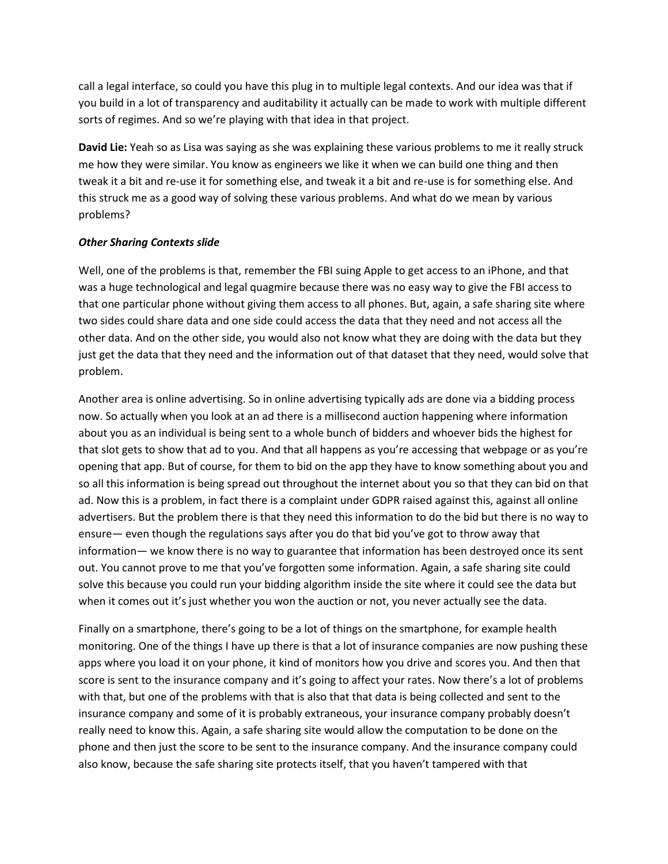call a legal interface, so could you have this plug in to multiple legal contexts. And our idea was that if you build in a lot of transparency and auditability it actually can be made to work with multiple different sorts of regimes. And so we're playing with that idea in that project.

**David Lie:** Yeah so as Lisa was saying as she was explaining these various problems to me it really struck me how they were similar. You know as engineers we like it when we can build one thing and then tweak it a bit and re-use it for something else, and tweak it a bit and re-use is for something else. And this struck me as a good way of solving these various problems. And what do we mean by various problems?

#### *Other Sharing Contexts slide*

Well, one of the problems is that, remember the FBI suing Apple to get access to an iPhone, and that was a huge technological and legal quagmire because there was no easy way to give the FBI access to that one particular phone without giving them access to all phones. But, again, a safe sharing site where two sides could share data and one side could access the data that they need and not access all the other data. And on the other side, you would also not know what they are doing with the data but they just get the data that they need and the information out of that dataset that they need, would solve that problem.

Another area is online advertising. So in online advertising typically ads are done via a bidding process now. So actually when you look at an ad there is a millisecond auction happening where information about you as an individual is being sent to a whole bunch of bidders and whoever bids the highest for that slot gets to show that ad to you. And that all happens as you're accessing that webpage or as you're opening that app. But of course, for them to bid on the app they have to know something about you and so all this information is being spread out throughout the internet about you so that they can bid on that ad. Now this is a problem, in fact there is a complaint under GDPR raised against this, against all online advertisers. But the problem there is that they need this information to do the bid but there is no way to ensure— even though the regulations says after you do that bid you've got to throw away that information— we know there is no way to guarantee that information has been destroyed once its sent out. You cannot prove to me that you've forgotten some information. Again, a safe sharing site could solve this because you could run your bidding algorithm inside the site where it could see the data but when it comes out it's just whether you won the auction or not, you never actually see the data.

Finally on a smartphone, there's going to be a lot of things on the smartphone, for example health monitoring. One of the things I have up there is that a lot of insurance companies are now pushing these apps where you load it on your phone, it kind of monitors how you drive and scores you. And then that score is sent to the insurance company and it's going to affect your rates. Now there's a lot of problems with that, but one of the problems with that is also that that data is being collected and sent to the insurance company and some of it is probably extraneous, your insurance company probably doesn't really need to know this. Again, a safe sharing site would allow the computation to be done on the phone and then just the score to be sent to the insurance company. And the insurance company could also know, because the safe sharing site protects itself, that you haven't tampered with that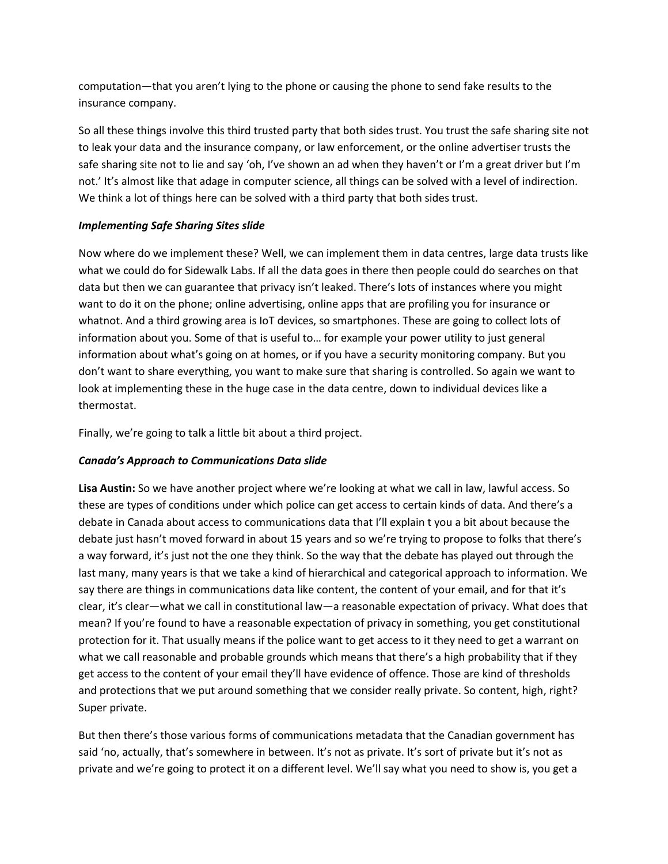computation—that you aren't lying to the phone or causing the phone to send fake results to the insurance company.

So all these things involve this third trusted party that both sides trust. You trust the safe sharing site not to leak your data and the insurance company, or law enforcement, or the online advertiser trusts the safe sharing site not to lie and say 'oh, I've shown an ad when they haven't or I'm a great driver but I'm not.' It's almost like that adage in computer science, all things can be solved with a level of indirection. We think a lot of things here can be solved with a third party that both sides trust.

## *Implementing Safe Sharing Sites slide*

Now where do we implement these? Well, we can implement them in data centres, large data trusts like what we could do for Sidewalk Labs. If all the data goes in there then people could do searches on that data but then we can guarantee that privacy isn't leaked. There's lots of instances where you might want to do it on the phone; online advertising, online apps that are profiling you for insurance or whatnot. And a third growing area is IoT devices, so smartphones. These are going to collect lots of information about you. Some of that is useful to… for example your power utility to just general information about what's going on at homes, or if you have a security monitoring company. But you don't want to share everything, you want to make sure that sharing is controlled. So again we want to look at implementing these in the huge case in the data centre, down to individual devices like a thermostat.

Finally, we're going to talk a little bit about a third project.

# *Canada's Approach to Communications Data slide*

**Lisa Austin:** So we have another project where we're looking at what we call in law, lawful access. So these are types of conditions under which police can get access to certain kinds of data. And there's a debate in Canada about access to communications data that I'll explain t you a bit about because the debate just hasn't moved forward in about 15 years and so we're trying to propose to folks that there's a way forward, it's just not the one they think. So the way that the debate has played out through the last many, many years is that we take a kind of hierarchical and categorical approach to information. We say there are things in communications data like content, the content of your email, and for that it's clear, it's clear—what we call in constitutional law—a reasonable expectation of privacy. What does that mean? If you're found to have a reasonable expectation of privacy in something, you get constitutional protection for it. That usually means if the police want to get access to it they need to get a warrant on what we call reasonable and probable grounds which means that there's a high probability that if they get access to the content of your email they'll have evidence of offence. Those are kind of thresholds and protections that we put around something that we consider really private. So content, high, right? Super private.

But then there's those various forms of communications metadata that the Canadian government has said 'no, actually, that's somewhere in between. It's not as private. It's sort of private but it's not as private and we're going to protect it on a different level. We'll say what you need to show is, you get a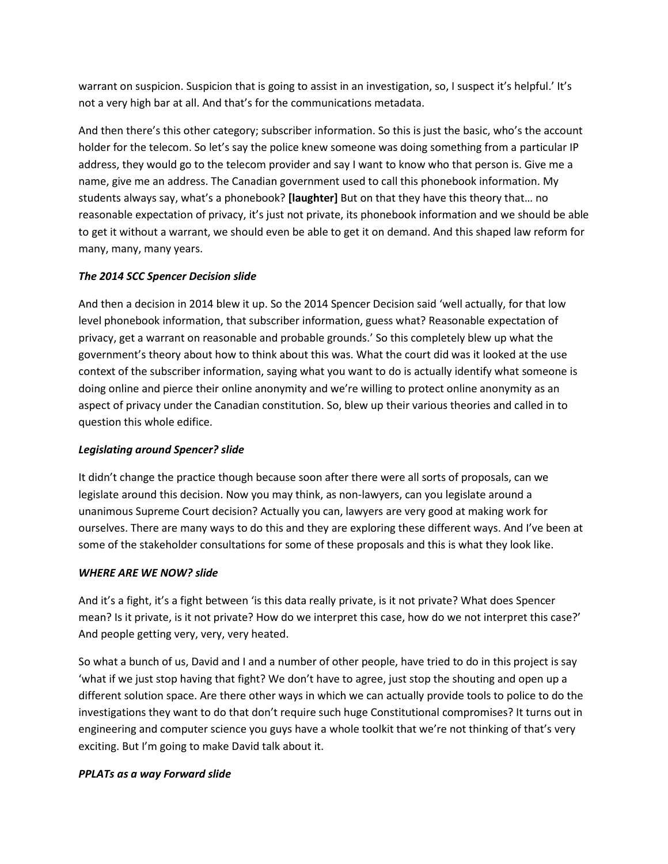warrant on suspicion. Suspicion that is going to assist in an investigation, so, I suspect it's helpful.' It's not a very high bar at all. And that's for the communications metadata.

And then there's this other category; subscriber information. So this is just the basic, who's the account holder for the telecom. So let's say the police knew someone was doing something from a particular IP address, they would go to the telecom provider and say I want to know who that person is. Give me a name, give me an address. The Canadian government used to call this phonebook information. My students always say, what's a phonebook? **[laughter]** But on that they have this theory that… no reasonable expectation of privacy, it's just not private, its phonebook information and we should be able to get it without a warrant, we should even be able to get it on demand. And this shaped law reform for many, many, many years.

## *The 2014 SCC Spencer Decision slide*

And then a decision in 2014 blew it up. So the 2014 Spencer Decision said 'well actually, for that low level phonebook information, that subscriber information, guess what? Reasonable expectation of privacy, get a warrant on reasonable and probable grounds.' So this completely blew up what the government's theory about how to think about this was. What the court did was it looked at the use context of the subscriber information, saying what you want to do is actually identify what someone is doing online and pierce their online anonymity and we're willing to protect online anonymity as an aspect of privacy under the Canadian constitution. So, blew up their various theories and called in to question this whole edifice.

# *Legislating around Spencer? slide*

It didn't change the practice though because soon after there were all sorts of proposals, can we legislate around this decision. Now you may think, as non-lawyers, can you legislate around a unanimous Supreme Court decision? Actually you can, lawyers are very good at making work for ourselves. There are many ways to do this and they are exploring these different ways. And I've been at some of the stakeholder consultations for some of these proposals and this is what they look like.

# *WHERE ARE WE NOW? slide*

And it's a fight, it's a fight between 'is this data really private, is it not private? What does Spencer mean? Is it private, is it not private? How do we interpret this case, how do we not interpret this case?' And people getting very, very, very heated.

So what a bunch of us, David and I and a number of other people, have tried to do in this project is say 'what if we just stop having that fight? We don't have to agree, just stop the shouting and open up a different solution space. Are there other ways in which we can actually provide tools to police to do the investigations they want to do that don't require such huge Constitutional compromises? It turns out in engineering and computer science you guys have a whole toolkit that we're not thinking of that's very exciting. But I'm going to make David talk about it.

# *PPLATs as a way Forward slide*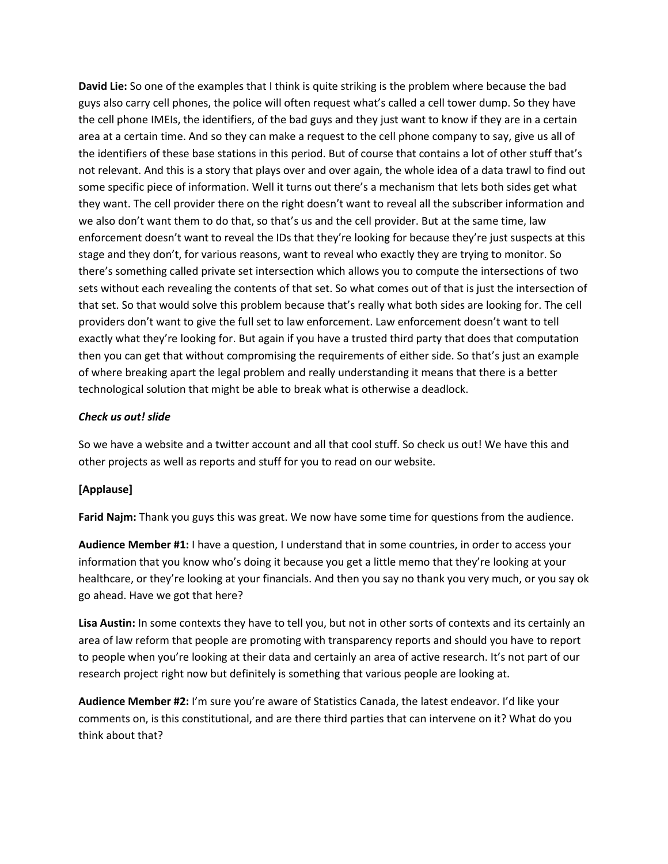**David Lie:** So one of the examples that I think is quite striking is the problem where because the bad guys also carry cell phones, the police will often request what's called a cell tower dump. So they have the cell phone IMEIs, the identifiers, of the bad guys and they just want to know if they are in a certain area at a certain time. And so they can make a request to the cell phone company to say, give us all of the identifiers of these base stations in this period. But of course that contains a lot of other stuff that's not relevant. And this is a story that plays over and over again, the whole idea of a data trawl to find out some specific piece of information. Well it turns out there's a mechanism that lets both sides get what they want. The cell provider there on the right doesn't want to reveal all the subscriber information and we also don't want them to do that, so that's us and the cell provider. But at the same time, law enforcement doesn't want to reveal the IDs that they're looking for because they're just suspects at this stage and they don't, for various reasons, want to reveal who exactly they are trying to monitor. So there's something called private set intersection which allows you to compute the intersections of two sets without each revealing the contents of that set. So what comes out of that is just the intersection of that set. So that would solve this problem because that's really what both sides are looking for. The cell providers don't want to give the full set to law enforcement. Law enforcement doesn't want to tell exactly what they're looking for. But again if you have a trusted third party that does that computation then you can get that without compromising the requirements of either side. So that's just an example of where breaking apart the legal problem and really understanding it means that there is a better technological solution that might be able to break what is otherwise a deadlock.

### *Check us out! slide*

So we have a website and a twitter account and all that cool stuff. So check us out! We have this and other projects as well as reports and stuff for you to read on our website.

## **[Applause]**

**Farid Najm:** Thank you guys this was great. We now have some time for questions from the audience.

**Audience Member #1:** I have a question, I understand that in some countries, in order to access your information that you know who's doing it because you get a little memo that they're looking at your healthcare, or they're looking at your financials. And then you say no thank you very much, or you say ok go ahead. Have we got that here?

**Lisa Austin:** In some contexts they have to tell you, but not in other sorts of contexts and its certainly an area of law reform that people are promoting with transparency reports and should you have to report to people when you're looking at their data and certainly an area of active research. It's not part of our research project right now but definitely is something that various people are looking at.

**Audience Member #2:** I'm sure you're aware of Statistics Canada, the latest endeavor. I'd like your comments on, is this constitutional, and are there third parties that can intervene on it? What do you think about that?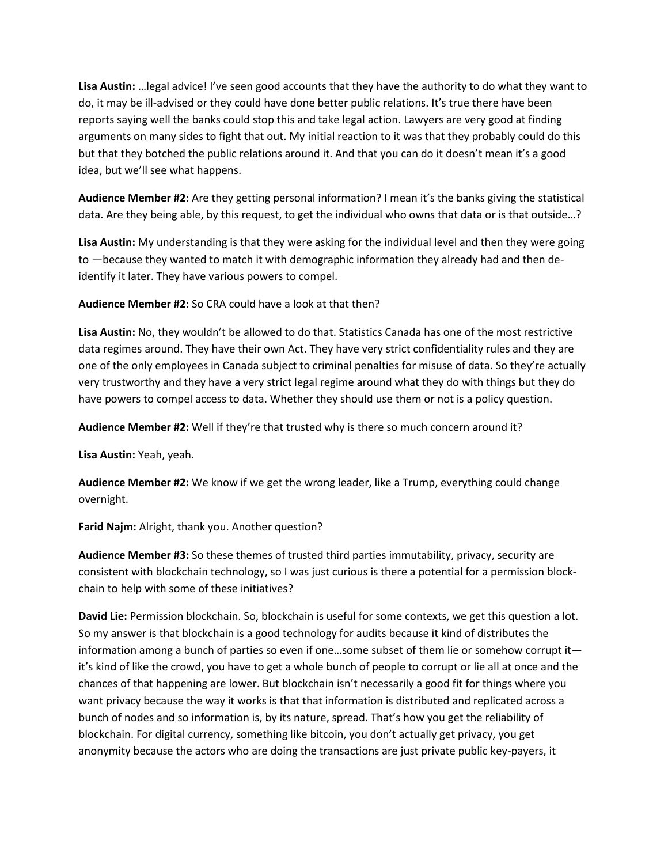**Lisa Austin:** …legal advice! I've seen good accounts that they have the authority to do what they want to do, it may be ill-advised or they could have done better public relations. It's true there have been reports saying well the banks could stop this and take legal action. Lawyers are very good at finding arguments on many sides to fight that out. My initial reaction to it was that they probably could do this but that they botched the public relations around it. And that you can do it doesn't mean it's a good idea, but we'll see what happens.

**Audience Member #2:** Are they getting personal information? I mean it's the banks giving the statistical data. Are they being able, by this request, to get the individual who owns that data or is that outside…?

**Lisa Austin:** My understanding is that they were asking for the individual level and then they were going to —because they wanted to match it with demographic information they already had and then deidentify it later. They have various powers to compel.

**Audience Member #2:** So CRA could have a look at that then?

**Lisa Austin:** No, they wouldn't be allowed to do that. Statistics Canada has one of the most restrictive data regimes around. They have their own Act. They have very strict confidentiality rules and they are one of the only employees in Canada subject to criminal penalties for misuse of data. So they're actually very trustworthy and they have a very strict legal regime around what they do with things but they do have powers to compel access to data. Whether they should use them or not is a policy question.

**Audience Member #2:** Well if they're that trusted why is there so much concern around it?

**Lisa Austin:** Yeah, yeah.

**Audience Member #2:** We know if we get the wrong leader, like a Trump, everything could change overnight.

**Farid Najm:** Alright, thank you. Another question?

**Audience Member #3:** So these themes of trusted third parties immutability, privacy, security are consistent with blockchain technology, so I was just curious is there a potential for a permission blockchain to help with some of these initiatives?

**David Lie:** Permission blockchain. So, blockchain is useful for some contexts, we get this question a lot. So my answer is that blockchain is a good technology for audits because it kind of distributes the information among a bunch of parties so even if one…some subset of them lie or somehow corrupt it it's kind of like the crowd, you have to get a whole bunch of people to corrupt or lie all at once and the chances of that happening are lower. But blockchain isn't necessarily a good fit for things where you want privacy because the way it works is that that information is distributed and replicated across a bunch of nodes and so information is, by its nature, spread. That's how you get the reliability of blockchain. For digital currency, something like bitcoin, you don't actually get privacy, you get anonymity because the actors who are doing the transactions are just private public key-payers, it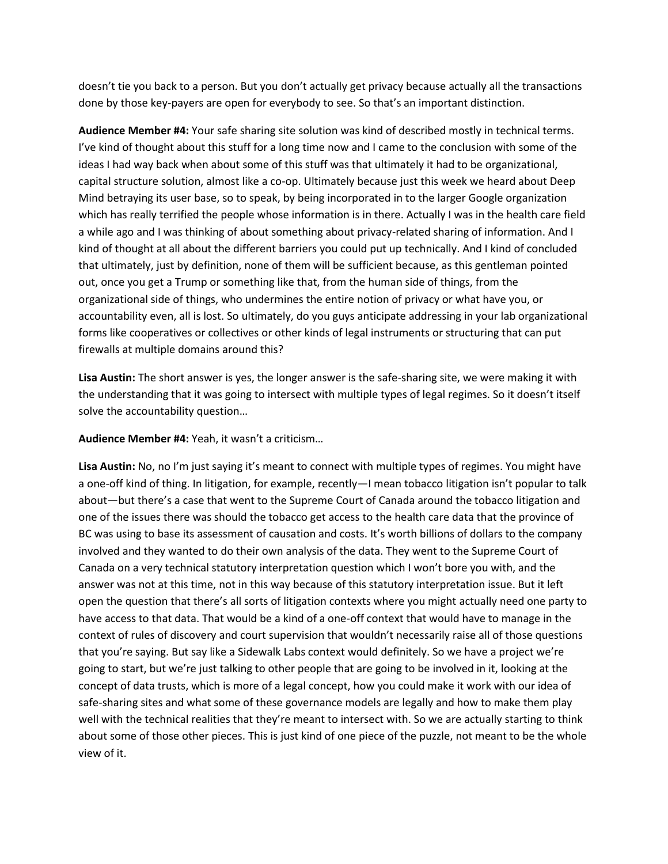doesn't tie you back to a person. But you don't actually get privacy because actually all the transactions done by those key-payers are open for everybody to see. So that's an important distinction.

**Audience Member #4:** Your safe sharing site solution was kind of described mostly in technical terms. I've kind of thought about this stuff for a long time now and I came to the conclusion with some of the ideas I had way back when about some of this stuff was that ultimately it had to be organizational, capital structure solution, almost like a co-op. Ultimately because just this week we heard about Deep Mind betraying its user base, so to speak, by being incorporated in to the larger Google organization which has really terrified the people whose information is in there. Actually I was in the health care field a while ago and I was thinking of about something about privacy-related sharing of information. And I kind of thought at all about the different barriers you could put up technically. And I kind of concluded that ultimately, just by definition, none of them will be sufficient because, as this gentleman pointed out, once you get a Trump or something like that, from the human side of things, from the organizational side of things, who undermines the entire notion of privacy or what have you, or accountability even, all is lost. So ultimately, do you guys anticipate addressing in your lab organizational forms like cooperatives or collectives or other kinds of legal instruments or structuring that can put firewalls at multiple domains around this?

**Lisa Austin:** The short answer is yes, the longer answer is the safe-sharing site, we were making it with the understanding that it was going to intersect with multiple types of legal regimes. So it doesn't itself solve the accountability question…

**Audience Member #4:** Yeah, it wasn't a criticism…

**Lisa Austin:** No, no I'm just saying it's meant to connect with multiple types of regimes. You might have a one-off kind of thing. In litigation, for example, recently—I mean tobacco litigation isn't popular to talk about—but there's a case that went to the Supreme Court of Canada around the tobacco litigation and one of the issues there was should the tobacco get access to the health care data that the province of BC was using to base its assessment of causation and costs. It's worth billions of dollars to the company involved and they wanted to do their own analysis of the data. They went to the Supreme Court of Canada on a very technical statutory interpretation question which I won't bore you with, and the answer was not at this time, not in this way because of this statutory interpretation issue. But it left open the question that there's all sorts of litigation contexts where you might actually need one party to have access to that data. That would be a kind of a one-off context that would have to manage in the context of rules of discovery and court supervision that wouldn't necessarily raise all of those questions that you're saying. But say like a Sidewalk Labs context would definitely. So we have a project we're going to start, but we're just talking to other people that are going to be involved in it, looking at the concept of data trusts, which is more of a legal concept, how you could make it work with our idea of safe-sharing sites and what some of these governance models are legally and how to make them play well with the technical realities that they're meant to intersect with. So we are actually starting to think about some of those other pieces. This is just kind of one piece of the puzzle, not meant to be the whole view of it.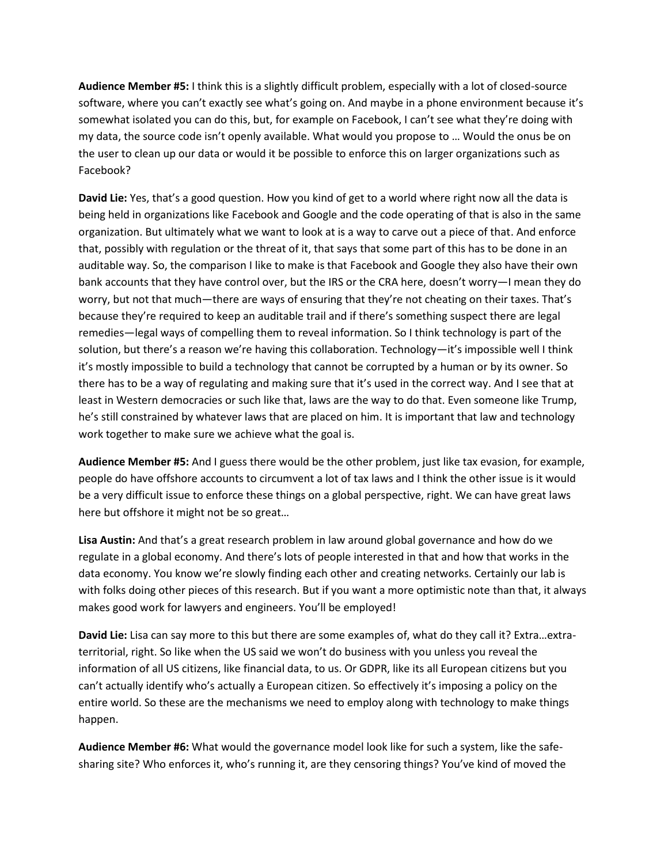**Audience Member #5:** I think this is a slightly difficult problem, especially with a lot of closed-source software, where you can't exactly see what's going on. And maybe in a phone environment because it's somewhat isolated you can do this, but, for example on Facebook, I can't see what they're doing with my data, the source code isn't openly available. What would you propose to … Would the onus be on the user to clean up our data or would it be possible to enforce this on larger organizations such as Facebook?

**David Lie:** Yes, that's a good question. How you kind of get to a world where right now all the data is being held in organizations like Facebook and Google and the code operating of that is also in the same organization. But ultimately what we want to look at is a way to carve out a piece of that. And enforce that, possibly with regulation or the threat of it, that says that some part of this has to be done in an auditable way. So, the comparison I like to make is that Facebook and Google they also have their own bank accounts that they have control over, but the IRS or the CRA here, doesn't worry—I mean they do worry, but not that much—there are ways of ensuring that they're not cheating on their taxes. That's because they're required to keep an auditable trail and if there's something suspect there are legal remedies—legal ways of compelling them to reveal information. So I think technology is part of the solution, but there's a reason we're having this collaboration. Technology—it's impossible well I think it's mostly impossible to build a technology that cannot be corrupted by a human or by its owner. So there has to be a way of regulating and making sure that it's used in the correct way. And I see that at least in Western democracies or such like that, laws are the way to do that. Even someone like Trump, he's still constrained by whatever laws that are placed on him. It is important that law and technology work together to make sure we achieve what the goal is.

**Audience Member #5:** And I guess there would be the other problem, just like tax evasion, for example, people do have offshore accounts to circumvent a lot of tax laws and I think the other issue is it would be a very difficult issue to enforce these things on a global perspective, right. We can have great laws here but offshore it might not be so great…

**Lisa Austin:** And that's a great research problem in law around global governance and how do we regulate in a global economy. And there's lots of people interested in that and how that works in the data economy. You know we're slowly finding each other and creating networks. Certainly our lab is with folks doing other pieces of this research. But if you want a more optimistic note than that, it always makes good work for lawyers and engineers. You'll be employed!

**David Lie:** Lisa can say more to this but there are some examples of, what do they call it? Extra…extraterritorial, right. So like when the US said we won't do business with you unless you reveal the information of all US citizens, like financial data, to us. Or GDPR, like its all European citizens but you can't actually identify who's actually a European citizen. So effectively it's imposing a policy on the entire world. So these are the mechanisms we need to employ along with technology to make things happen.

**Audience Member #6:** What would the governance model look like for such a system, like the safesharing site? Who enforces it, who's running it, are they censoring things? You've kind of moved the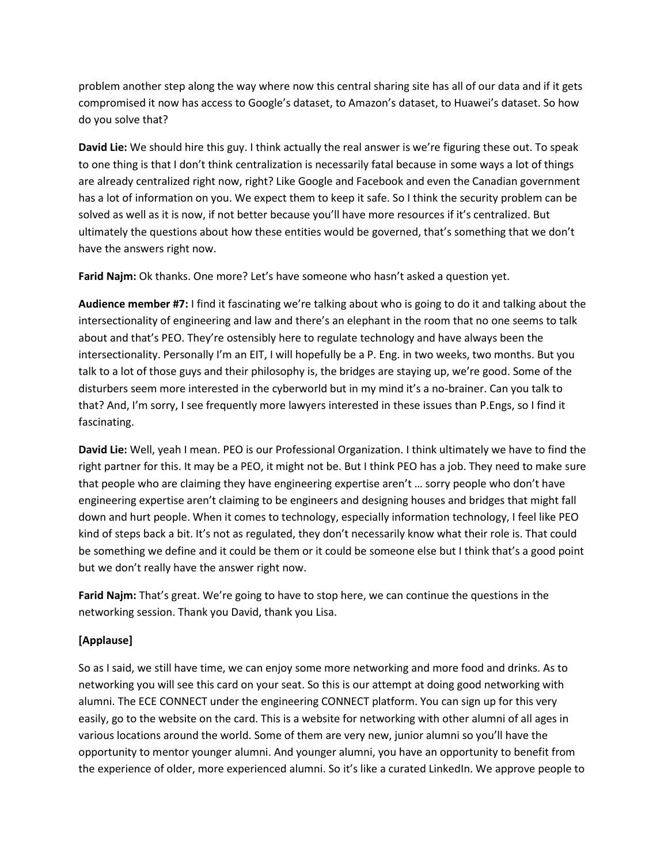problem another step along the way where now this central sharing site has all of our data and if it gets compromised it now has access to Google's dataset, to Amazon's dataset, to Huawei's dataset. So how do you solve that?

**David Lie:** We should hire this guy. I think actually the real answer is we're figuring these out. To speak to one thing is that I don't think centralization is necessarily fatal because in some ways a lot of things are already centralized right now, right? Like Google and Facebook and even the Canadian government has a lot of information on you. We expect them to keep it safe. So I think the security problem can be solved as well as it is now, if not better because you'll have more resources if it's centralized. But ultimately the questions about how these entities would be governed, that's something that we don't have the answers right now.

**Farid Najm:** Ok thanks. One more? Let's have someone who hasn't asked a question yet.

**Audience member #7:** I find it fascinating we're talking about who is going to do it and talking about the intersectionality of engineering and law and there's an elephant in the room that no one seems to talk about and that's PEO. They're ostensibly here to regulate technology and have always been the intersectionality. Personally I'm an EIT, I will hopefully be a P. Eng. in two weeks, two months. But you talk to a lot of those guys and their philosophy is, the bridges are staying up, we're good. Some of the disturbers seem more interested in the cyberworld but in my mind it's a no-brainer. Can you talk to that? And, I'm sorry, I see frequently more lawyers interested in these issues than P.Engs, so I find it fascinating.

**David Lie:** Well, yeah I mean. PEO is our Professional Organization. I think ultimately we have to find the right partner for this. It may be a PEO, it might not be. But I think PEO has a job. They need to make sure that people who are claiming they have engineering expertise aren't … sorry people who don't have engineering expertise aren't claiming to be engineers and designing houses and bridges that might fall down and hurt people. When it comes to technology, especially information technology, I feel like PEO kind of steps back a bit. It's not as regulated, they don't necessarily know what their role is. That could be something we define and it could be them or it could be someone else but I think that's a good point but we don't really have the answer right now.

**Farid Najm:** That's great. We're going to have to stop here, we can continue the questions in the networking session. Thank you David, thank you Lisa.

# **[Applause]**

So as I said, we still have time, we can enjoy some more networking and more food and drinks. As to networking you will see this card on your seat. So this is our attempt at doing good networking with alumni. The ECE CONNECT under the engineering CONNECT platform. You can sign up for this very easily, go to the website on the card. This is a website for networking with other alumni of all ages in various locations around the world. Some of them are very new, junior alumni so you'll have the opportunity to mentor younger alumni. And younger alumni, you have an opportunity to benefit from the experience of older, more experienced alumni. So it's like a curated LinkedIn. We approve people to